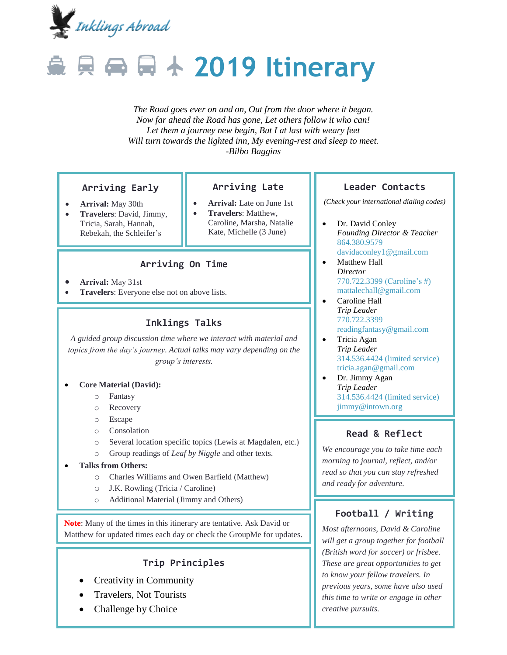

# **2019 Itinerary**

*The Road goes ever on and on, Out from the door where it began. Now far ahead the Road has gone, Let others follow it who can! Let them a journey new begin, But I at last with weary feet Will turn towards the lighted inn, My evening-rest and sleep to meet. -Bilbo Baggins*

#### **Arriving Early**

- **Arrival:** May 30th
- **Travelers**: David, Jimmy, Tricia, Sarah, Hannah, Rebekah, the Schleifer's

### **Arriving Late**

- **Arrival:** Late on June 1st
- **Travelers**: Matthew, Caroline, Marsha, Natalie Kate, Michelle (3 June)

### **Arriving On Time**

- **Arrival:** May 31st
- **Travelers**: Everyone else not on above lists.

#### **Inklings Talks**

*A guided group discussion time where we interact with material and topics from the day's journey. Actual talks may vary depending on the group's interests.*

#### • **Core Material (David):**

- o Fantasy
- o Recovery
- o Escape
- o Consolation
- o Several location specific topics (Lewis at Magdalen, etc.)
- o Group readings of *Leaf by Niggle* and other texts.
- **Talks from Others:**
	- o Charles Williams and Owen Barfield (Matthew)
	- o J.K. Rowling (Tricia / Caroline)
	- o Additional Material (Jimmy and Others)

**Note**: Many of the times in this itinerary are tentative. Ask David or Matthew for updated times each day or check the GroupMe for updates.

#### **Trip Principles**

- Creativity in Community
- Travelers, Not Tourists
- Challenge by Choice

#### **Leader Contacts**

*(Check your international dialing codes)*

- Dr. David Conley *Founding Director & Teacher* 864.380.9579 davidaconley1@gmail.com
- **Matthew Hall** *Director*  770.722.3399 (Caroline's #) mattalechall@gmail.com
- Caroline Hall *Trip Leader*  770.722.3399 readingfantasy@gmail.com
- Tricia Agan *Trip Leader*  314.536.4424 (limited service) tricia.agan@gmail.com
	- Dr. Jimmy Agan *Trip Leader* 314.536.4424 (limited service) jimmy@intown.org

#### **Read & Reflect**

*We encourage you to take time each morning to journal, reflect, and/or read so that you can stay refreshed and ready for adventure.*

### **Football / Writing**

*Most afternoons, David & Caroline will get a group together for football (British word for soccer) or frisbee. These are great opportunities to get to know your fellow travelers. In previous years, some have also used this time to write or engage in other creative pursuits.*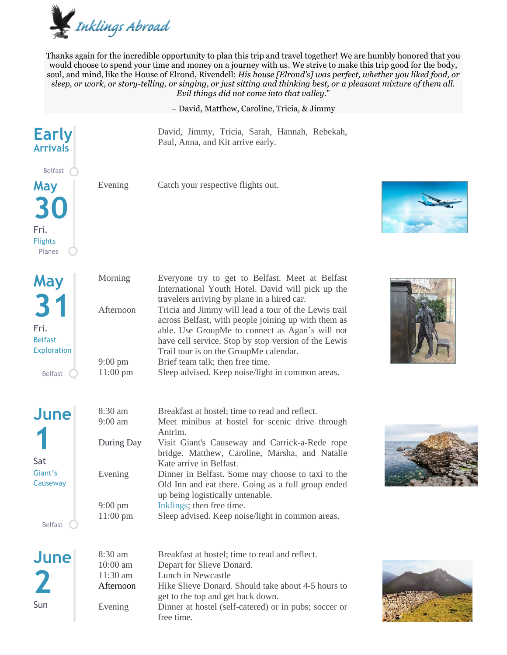

Thanks again for the incredible opportunity to plan this trip and travel together! We are humbly honored that you would choose to spend your time and money on a journey with us. We strive to make this trip good for the body, soul, and mind, like the House of Elrond, Rivendell: *His house [Elrond's] was perfect, whether you liked food, or sleep, or work, or story-telling, or singing, or just sitting and thinking best, or a pleasant mixture of them all. Evil things did not come into that valley.*"

– David, Matthew, Caroline, Tricia, & Jimmy

| <b>Early</b><br><b>Arrivals</b>                                        |                                              | David, Jimmy, Tricia, Sarah, Hannah, Rebekah,<br>Paul, Anna, and Kit arrive early.                                                                                                                                                                                    |  |
|------------------------------------------------------------------------|----------------------------------------------|-----------------------------------------------------------------------------------------------------------------------------------------------------------------------------------------------------------------------------------------------------------------------|--|
| <b>Belfast</b><br><b>May</b><br>30<br>Fri.<br><b>Flights</b><br>Planes | Evening                                      | Catch your respective flights out.                                                                                                                                                                                                                                    |  |
| May                                                                    | Morning                                      | Everyone try to get to Belfast. Meet at Belfast<br>International Youth Hotel. David will pick up the                                                                                                                                                                  |  |
| 31<br>Fri.<br><b>Belfast</b>                                           | Afternoon                                    | travelers arriving by plane in a hired car.<br>Tricia and Jimmy will lead a tour of the Lewis trail<br>across Belfast, with people joining up with them as<br>able. Use GroupMe to connect as Agan's will not<br>have cell service. Stop by stop version of the Lewis |  |
| <b>Exploration</b><br>Belfast                                          | $9:00 \text{ pm}$<br>$11:00 \text{ pm}$      | Trail tour is on the GroupMe calendar.<br>Brief team talk; then free time.<br>Sleep advised. Keep noise/light in common areas.                                                                                                                                        |  |
| <b>June</b><br>Sat                                                     | 8:30 am<br>$9:00$ am<br>During Day           | Breakfast at hostel; time to read and reflect.<br>Meet minibus at hostel for scenic drive through<br>Antrim.<br>Visit Giant's Causeway and Carrick-a-Rede rope<br>bridge. Matthew, Caroline, Marsha, and Natalie<br>Kate arrive in Belfast.                           |  |
| Giant's<br>Causeway                                                    | Evening                                      | Dinner in Belfast. Some may choose to taxi to the<br>Old Inn and eat there. Going as a full group ended<br>up being logistically untenable.                                                                                                                           |  |
| Belfast                                                                | $9:00 \text{ pm}$<br>$11:00 \text{ pm}$      | Inklings; then free time.<br>Sleep advised. Keep noise/light in common areas.                                                                                                                                                                                         |  |
| <b>June</b><br>$\mathbf 2$                                             | 8:30 am<br>10:00 am<br>11:30 am<br>Afternoon | Breakfast at hostel; time to read and reflect.<br>Depart for Slieve Donard.<br>Lunch in Newcastle<br>Hike Slieve Donard. Should take about 4-5 hours to<br>get to the top and get back down.                                                                          |  |
| Sun                                                                    | Evening                                      | Dinner at hostel (self-catered) or in pubs; soccer or                                                                                                                                                                                                                 |  |

free time.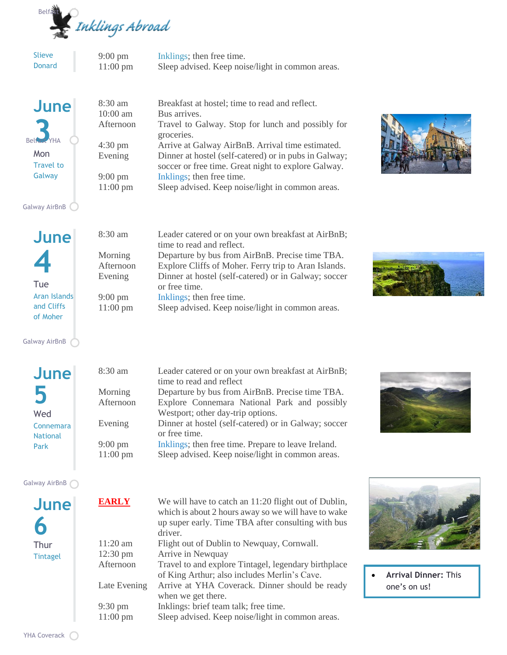

| Slieve | $9:00 \text{ pm}$  | Inklings; then free time.                        |
|--------|--------------------|--------------------------------------------------|
| Donard | $11:00 \text{ pm}$ | Sleep advised. Keep noise/light in common areas. |

| June                                             | $8:30$ am<br>10:00 am                                           | Breakfast at hostel; time to read and reflect.<br>Bus arrives.                                                                                                                                                                                    |
|--------------------------------------------------|-----------------------------------------------------------------|---------------------------------------------------------------------------------------------------------------------------------------------------------------------------------------------------------------------------------------------------|
|                                                  | Afternoon                                                       | Travel to Galway. Stop for lunch and possibly for<br>groceries.                                                                                                                                                                                   |
| Belfast YHA<br>Mon<br><b>Travel to</b><br>Galway | $4:30 \text{ pm}$<br>Evening<br>$9:00 \text{ pm}$<br>$11:00$ pm | Arrive at Galway AirBnB. Arrival time estimated.<br>Dinner at hostel (self-catered) or in pubs in Galway;<br>soccer or free time. Great night to explore Galway.<br>Inklings; then free time.<br>Sleep advised. Keep noise/light in common areas. |





#### Tue Aran Islands and Cliffs of Moher

**June**

Galway AirBnB

**4**

#### Galwa

| way AirBnB                   |                   |                                                                                   |
|------------------------------|-------------------|-----------------------------------------------------------------------------------|
| June                         | 8:30 am           | Leader catered or on your own breakfast at AirBnB;<br>time to read and reflect    |
| 15                           | Morning           | Departure by bus from AirBnB. Precise time TBA.                                   |
| Wed                          | Afternoon         | Explore Connemara National Park and possibly<br>Westport; other day-trip options. |
| Connemara<br><b>National</b> | Evening           | Dinner at hostel (self-catered) or in Galway; soccer<br>or free time.             |
| Park                         | $9:00 \text{ pm}$ | Inklings; then free time. Prepare to leave Ireland.                               |

11:00 pm Sleep advised. Keep noise/light in common areas.

8:30 am Leader catered or on your own breakfast at AirBnB;

Morning Departure by bus from AirBnB. Precise time TBA. Afternoon Explore Cliffs of Moher. Ferry trip to Aran Islands. Evening Dinner at hostel (self-catered) or in Galway; soccer

11:00 pm Sleep advised. Keep noise/light in common areas.

time to read and reflect.

or free time. 9:00 pm Inklings; then free time.



Galway AirBnB

| <b>June</b><br>6        | <b>EARLY</b>                     | We will have to catch an 11:20 flight out of Dublin,<br>which is about 2 hours away so we will have to wake<br>up super early. Time TBA after consulting with bus<br>driver. |
|-------------------------|----------------------------------|------------------------------------------------------------------------------------------------------------------------------------------------------------------------------|
| Thur<br><b>Tintagel</b> | $11:20$ am<br>$12:30 \text{ pm}$ | Flight out of Dublin to Newquay, Cornwall.<br>Arrive in Newquay                                                                                                              |
|                         | Afternoon                        | Travel to and explore Tintagel, legendary birthplace<br>of King Arthur; also includes Merlin's Cave.                                                                         |
|                         | Late Evening                     | Arrive at YHA Coverack. Dinner should be ready<br>when we get there.                                                                                                         |
|                         | $9:30 \text{ pm}$                | Inklings: brief team talk; free time.                                                                                                                                        |
|                         | $11:00 \text{ pm}$               | Sleep advised. Keep noise/light in common areas.                                                                                                                             |



• **Arrival Dinner:** This one's on us!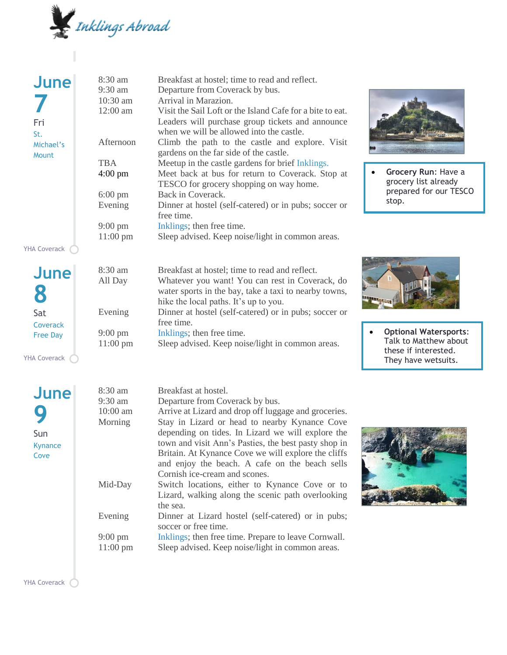

| June<br>Fri<br>St.<br>Michael's<br>Mount | $8:30 \text{ am}$<br>$9:30 \text{ am}$<br>$10:30 \text{ am}$<br>$12:00 \text{ am}$<br>Afternoon | Breakfast at hostel; time to read and reflect.<br>Departure from Coverack by bus.<br>Arrival in Marazion.<br>Visit the Sail Loft or the Island Cafe for a bite to eat.<br>Leaders will purchase group tickets and announce<br>when we will be allowed into the castle.<br>Climb the path to the castle and explore. Visit<br>gardens on the far side of the castle. |                                                                                |
|------------------------------------------|-------------------------------------------------------------------------------------------------|---------------------------------------------------------------------------------------------------------------------------------------------------------------------------------------------------------------------------------------------------------------------------------------------------------------------------------------------------------------------|--------------------------------------------------------------------------------|
|                                          | <b>TBA</b><br>$4:00 \text{ pm}$<br>$6:00 \text{ pm}$<br>Evening                                 | Meetup in the castle gardens for brief Inklings.<br>Meet back at bus for return to Coverack. Stop at<br>TESCO for grocery shopping on way home.<br>Back in Coverack.<br>Dinner at hostel (self-catered) or in pubs; soccer or                                                                                                                                       | Grocery Run: Have a<br>grocery list already<br>prepared for our TESCO<br>stop. |
| <b>YHA Coverack</b>                      | $9:00 \text{ pm}$<br>$11:00 \text{ pm}$                                                         | free time.<br>Inklings; then free time.<br>Sleep advised. Keep noise/light in common areas.                                                                                                                                                                                                                                                                         |                                                                                |

| June<br>8                          | $8:30 \text{ am}$<br>All Day                       | Breakfast at hostel; time to read and reflect.<br>Whatever you want! You can rest in Coverack, do<br>water sports in the bay, take a taxi to nearby towns,<br>hike the local paths. It's up to you. |
|------------------------------------|----------------------------------------------------|-----------------------------------------------------------------------------------------------------------------------------------------------------------------------------------------------------|
| Sat<br>Coverack<br><b>Free Day</b> | Evening<br>$9:00 \text{ pm}$<br>$11:00 \text{ pm}$ | Dinner at hostel (self-catered) or in pubs; soccer or<br>free time.<br>Inklings; then free time.<br>Sleep advised. Keep noise/light in common areas.                                                |
| <b>YHA Coverack</b>                |                                                    |                                                                                                                                                                                                     |



• **Optional Watersports**: Talk to Matthew about these if interested. They have wetsuits.

| June |
|------|
|      |
| Sun  |
|      |

Kynance Cove

| $8:30 \text{ am}$  | Breakfast at hostel.                                 |
|--------------------|------------------------------------------------------|
| $9:30 \text{ am}$  | Departure from Coverack by bus.                      |
| $10:00$ am         | Arrive at Lizard and drop off luggage and groceries. |
| Morning            | Stay in Lizard or head to nearby Kynance Cove        |
|                    | depending on tides. In Lizard we will explore the    |
|                    | town and visit Ann's Pasties, the best pasty shop in |
|                    | Britain. At Kynance Cove we will explore the cliffs  |
|                    | and enjoy the beach. A cafe on the beach sells       |
|                    | Cornish ice-cream and scones.                        |
| Mid-Day            | Switch locations, either to Kynance Cove or to       |
|                    | Lizard, walking along the scenic path overlooking    |
|                    | the sea.                                             |
| Evening            | Dinner at Lizard hostel (self-catered) or in pubs;   |
|                    | soccer or free time.                                 |
| $9:00 \text{ pm}$  | Inklings; then free time. Prepare to leave Cornwall. |
| $11:00 \text{ pm}$ | Sleep advised. Keep noise/light in common areas.     |

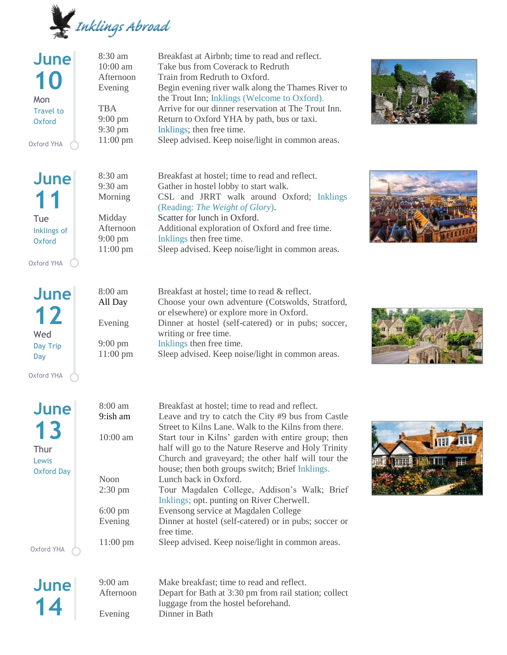

| lune             |
|------------------|
| L                |
| Mon              |
| <b>Travel</b> to |
| Oxford           |

Afternoon Train from Redruth to Oxford. Evening Begin evening river walk along the Thames River to TBA Arrive for our dinner reservation at The Trout Inn. 9:00 pm Return to Oxford YHA by path, bus or taxi. 9:30 pm Inklings; then free time. 11:00 pm Sleep advised. Keep noise/light in common areas.

Oxford YHA

**June**

**11**

Oxford YHA

Tue Inklings of Oxford

| June     | $8:00$ am          | Breakfast at hostel; time to read & reflect.        |
|----------|--------------------|-----------------------------------------------------|
|          | All Day            | Choose your own adventure (Cotswolds, Stratford,    |
| 12       |                    | or elsewhere) or explore more in Oxford.            |
|          | Evening            | Dinner at hostel (self-catered) or in pubs; soccer, |
| Wed      |                    | writing or free time.                               |
| Day Trip | $9:00 \text{ pm}$  | Inklings then free time.                            |
| Day      | $11:00 \text{ pm}$ | Sleep advised. Keep noise/light in common areas.    |

8:30 am Breakfast at Airbnb; time to read and reflect.

8:30 am Breakfast at hostel; time to read and reflect.

Morning CSL and JRRT walk around Oxford; Inklings (Reading: *The Weight of Glory*).

Afternoon Additional exploration of Oxford and free time.

11:00 pm Sleep advised. Keep noise/light in common areas.

9:30 am Gather in hostel lobby to start walk.

Midday Scatter for lunch in Oxford.

9:00 pm Inklings then free time.

the Trout Inn; Inklings (Welcome to Oxford).

10:00 am Take bus from Coverack to Redruth



Oxford YHA

| June              | $8:00$ am   | Breakfast at hostel; time to read and reflect.      |
|-------------------|-------------|-----------------------------------------------------|
|                   | 9:ish am    | Leave and try to catch the City #9 bus from Castle  |
| 13                |             | Street to Kilns Lane. Walk to the Kilns from there. |
|                   | 10:00 am    | Start tour in Kilns' garden with entire group; then |
| Thur              |             | half will go to the Nature Reserve and Holy Trinity |
| Lewis             |             | Church and graveyard; the other half will tour the  |
| <b>Oxford Day</b> |             | house; then both groups switch; Brief Inklings.     |
|                   | <b>Noon</b> | Lunch back in Oxford.                               |
|                   | $2:30$ pm   | Tour Magdalen College, Addison's Walk; Brief        |

Oxford YHA

**June 14**

9:00 am Make breakfast; time to read and reflect. Afternoon Depart for Bath at 3:30 pm from rail station; collect luggage from the hostel beforehand. Evening Dinner in Bath

Inklings; opt. punting on River Cherwell.

Evening Dinner at hostel (self-catered) or in pubs; soccer or

11:00 pm Sleep advised. Keep noise/light in common areas.

6:00 pm Evensong service at Magdalen College

free time.